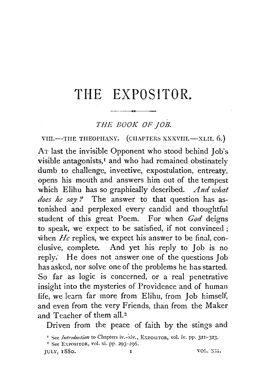## **THE EXPOSITOR.**

## *THE BOOK OF JOB.*

VIII.--TIIE THEOPHANY. (CHAPTERS XXXVIII.--XLII. 6.)

AT last the invisible Opponent who stood behind Job's visible antagonists,<sup>1</sup> and who had remained obstinately dumb to challenge, invective, expostulation, entreaty, opens his mouth and answers him out of the tempest which Elihu has so graphically described. *And what does he say P* The answer to that question has astonished and perplexed every candid and thoughtful student of this great Poem. For when *God* deigns to speak, we expect to be satisfied, if not convinced ; when  $He$  replies, we expect his answer to be final, conclusive, complete. And yet his reply to Job is no reply.' He does not answer one of the questions Job has asked, nor solve one of the problems he has started. So far as logic is concerned, or a real penetrative insight into the mysteries of Providence and of human life, we learn far more from Elihu, from Job himself, and even from the very Friends, than from the Maker and Teacher of them all.<sup>2</sup>

Driven from the peace of faith by the stings and

JULY, 1880. **I** VOL. XII.

<sup>&</sup>lt;sup>1</sup> See *Introduction* to Chapters iv.-xiv., EXPOSITOR, vol. iv. pp. 321-323.<br><sup>2</sup> See EXPOSITOR, vol. xi. pp. 293-296.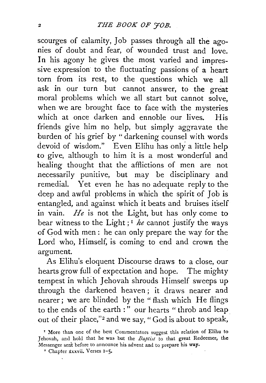scourges of calamity, Job passes through all the agonies of doubt and fear, of wounded trust and love. In his agony he gives the most varied and impressive expression to the fluctuating passions of a heart torn from its rest, to the questions which we all ask in our turn but cannot answer, to the great moral problems which we all start but cannot solve, when we are brought face to face with the mysteries which at once darken and ennoble our lives. His friends give him no help, but simply aggravate the burden of his grief by "darkening counsel with words devoid of wisdom." Even Elihu has only a little help to give, although to him it is a most wonderful and healing thought that the afflictions of men are not necessarily punitive, but may be disciplinary and remedial. Yet even he has no adequate reply to the deep and awful problems in which the spirit of Job is entangled, and against which it beats and bruises itself in vain. *He* is not the Light, but has only come to bear witness to the Light; 1 *he* cannot justify the ways of God with men: he can only prepare the way for the Lord who, Himself, is coming to end and crown the argument.

As Elihu's eloquent Discourse draws to a close, our hearts grow full of expectation and hope. The mighty tempest in which Jehovah shrouds Himself sweeps up through the darkened heaven ; it draws nearer and nearer; we are blinded by the "flash which He flings to the ends of the earth :" our hearts " throb and leap out of their place,"<sup>2</sup> and we say, " God is about to speak,

<sup>&</sup>lt;sup>1</sup> More than one of the best Commentators suggest this relation of Elihu to Jehovah, and hold that he was but the *Baptist* to that great Redeemer, the Messenger sent before to announce his advent and to prepare his way.

<sup>•</sup> Chapter xxxvii. Verses 1-5.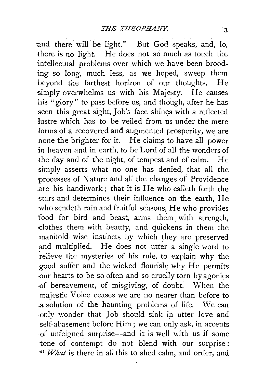and there will be light." But God speaks, and, lo, there is no light. He does not so much as touch the intellectual problems over which we have been brooding so long, much less, as we hoped, sweep them beyond the farthest horizon of our thoughts. He simply overwhelms us with his Majesty. He causes his "glory" to pass before us, and though, after he has seen this great sight, Job's face shines with a reflected lustre which has to be veiled from us under the mere forms of a recovered and augmented prosperity, we are none the brighter for it. He claims to have all power in heaven and in earth, to be Lord of all the wonders of the day and of the night, of tempest and of calm. He simply asserts what no one has denied, that all the processes of Nature and all the changes of Providence .are his handiwork; that it is He who calleth forth the :-stars and determines their influence on the earth, He who sendeth rain and fruitful seasons, He who provides food for bird and beast, arms them with strength, -clothes them with beauty, and qu'ickens in them the manifold wise instincts by which they are preserved and multiplied. He does not utter a single word to relieve the mysteries of his rule, to explain why the :good suffer and the wicked flourish; why He permits -our hearts to be so often and so cruelly torn by agonies ·of bereavement, of misgiving, of doubt. When the majestic Voice ceases we are no nearer than before to a solution of the haunting problems of life. We can only wonder that Job should sink in utter love and ·self-abasement before Him ; we can only ask, in accents -of unfeigned surprise-and it is well with us if some tone of contempt do not blend with our surprise : *-4, What* is there in all this to shed calm, and order, and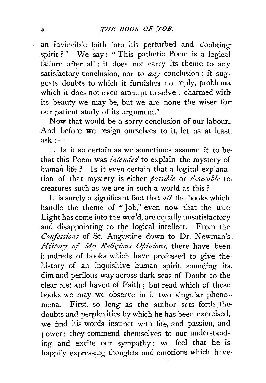an invincible faith into his perturbed and doubtingspirit?" We say: "This pathetic Poem is a logical failure after all; it does not carry its theme to any satisfactory conclusion, nor to *any* conclusion : it suggests doubts to which it furnishes no reply, problems. which it does not even attempt to solve : charmed with its beauty we may be, but we are none the wiser forour patient study of its argument."

Now that would be a sorry conclusion of our labour; And before we resign ourselves to it, let us at least. ask: $-$ 

I. Is it so certain as we sometimes assume it to be that this Poem was *intended* to explain the mystery of human life? Is it even certain that a logical explanation of that mystery is either *possible* or *desirable* to. creatures such as we are in such a world as this ?

It is surely a significant fact that *all* the books which handle the theme of "Job," even now that the true Light has come into the world, are equally unsatisfactory and disappointing to the logical intellect. From· the Confessions of St. Augustine down to Dr. Newman's. *History of My Religious Opinions*, there have been hundreds of books which have professed to give the history of an inquisitive human spirit, sounding its. dim and perilous way across dark seas of Doubt to the clear rest and haven of Faith; but read which of these books we may, we observe in it two singular pheno- mena. First, so long as the author sets forth the doubts and perplexities by which he has been exercised, we find his words instinct with life, and passion, and power: they commend themselves to our understanding and excite our sympathy; we feel that he is. happily expressing thoughts and emotions which have: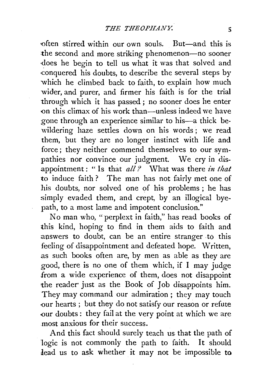•often stirred within our own souls. But-and this is the second and more striking phenomenon-no sooner ·does he begin to tell us what it was that solved and. conquered his doubts, to describe the several steps by which he climbed back to faith, to explain how much wider, and purer, and firmer his faith is for the trial through which it has passed; no sooner does he enter on this climax of his work than—unless indeed we have gone through an experience similar to his—a thick bewildering haze settles down on his words ; we read them, but they are no longer instinct with life and force; they neither commend themselves to our sympathies nor convince our judgment. We cry in disappointment: " Is that *all ?* What was there *in that* to induce faith ? The man has not fairly met one of his doubts, nor solved one of his problems; he has simply evaded them, and crept, by an illogical bye path, to a most lame and impotent conclusion."

No man who, "perplext in faith," has read books of this kind, hoping to find in them aids to faith and answers to doubt, can be an entire stranger to this feeling of disappointment and defeated hope. Written, as such books often are, by men as able as they are good, there is no one of them which, if I may judge from a wide experience of them, does not disappoint the reader just as the Book of Job disappoints him. They may command our admiration ; they may touch -our hearts ; but they do not satisfy our reason or refute -our doubts: they fail at the very point at which we are most anxious for their success.

And this fact should surely teach us that the path of logic is not commonly the path to faith. It should lead us to ask whether it may not be impossible to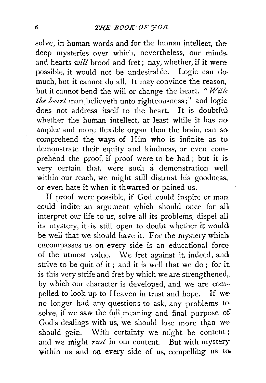solve, in human words and for the human intellect, the deep mysteries over which, nevertheless, our minds. and hearts *will* brood and fret; nay, whether, if it were possible, it would not be undesirable. Logic can domuch, but it cannot do all. It may convince the reason, but it cannot bend the will or change the heart. " $With$ *the heart* man believeth unto righteousness;" and logic does not address itself to the heart. It is doubtful whether the human intellect, at least while it has no ampler and more flexible organ than the brain, can so comprehend the ways of Him who is infinite as to demonstrate their equity and kindness; or even comprehend the proof, if proof were to be had ; but it is very certain that, were such a demonstration well within our reach, we might still distrust his goodness, or even hate it when it thwarted or pained us.

If proof were possible, if God could inspire or man could indite an argument which should once for alh interpret our life to us, solve all its problems, dispel all its mystery, it is still open to doubt whether it would be well that we should have it. For the mystery which, encompasses us on every side is an educational force of the utmost value. We fret against it, indeed, and strive to be quit of it; and it is well that we do; for it. is this very strife and fret by which we are strengthened,. by which our character is developed, and we are com- pelled to look up to Heaven in trust and hope. If we no longer had any questions to ask, any problems to· solve, if we saw the full meaning and final purpose of God's dealings with us, we should lose more than weshould gain. With certainty we might be content ; and we might *rust* in our content. But with mystery within us and on every side of us, compelling us to.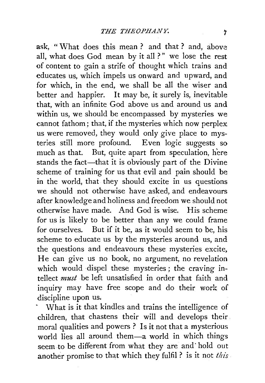ask, " What does this mean ? and that ? and, above all, what does God mean by it all ?" we lose the rest of content to gain a strife of thought which trains and educates us, which impels us onward and upward, and for which, in the end, we shall be all the wiser and better and happier. It may be, it surely is, inevitable that, with an infinite God above us and around us and within us, we should be encompassed by mysteries we cannot fathom; that, if the mysteries which now perplex us were removed, they would only give place to mysteries still more profound. Even logic suggests so much as that. But, quite apart from speculation, here stands the fact—that it is obviously part of the Divine scheme of training for us that evil and pain should be in the world, that they should excite in us questions we should not otherwise have asked, and endeavours after knowledge and holiness and freedom we should not otherwise have made. And God is wise. His scheme for us is likely to be better than any we could frame for ourselves. But if it be, as it would seem to be, his scheme to educate us by the mysteries around us, and the questions and endeavours these mysteries excite, He can give us no book, no argument, no revelation which would dispel these mysteries ; the craving intellect *must* be left unsatisfied in order that faith and inquiry may have free scope and do their work of discipline upon us.

\Vhat is it that kindles and trains the intelligence of children, that chastens their will and develops their moral qualities and powers ? Is it not that a mysterious world lies all around them-a world in which things seem to be different from what they are and· hold out another promise to that which they fulfil ? is it not *this*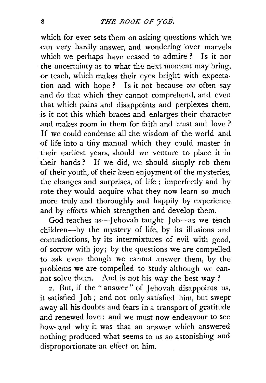which for ever sets them on asking questions which we can very hardly answer, and wondering over marvels which we perhaps have ceased to admire ? Is it not the uncertainty as to what the next moment may bring, or teach, which makes their eyes bright with expectation and with hope ? Is it not because *we* often say and do that which they cannot comprehend, and even that which pains and disappoints and perplexes them, is it not this which braces and enlarges their character and makes room in them for faith and trust and love ? If we could condense all the wisdom of the world and of life into a tiny manual which they could master in their earliest years, should we venture to place it in their hands ? If we did, we should simply rob them of their youth, of their keen enjoyment of the mysteries, the changes and surprises, of life ; imperfectly and by rote they would acquire what they now learn so much more truly and thoroughly and happily by experience and by efforts which strengthen and develop them.

God teaches us-Jehovah taught Job-as we teach children-by the mystery of life, by its illusions and contradictions, by its intermixtures of evil with good, of sorrow with joy; by the questions we are compelled to ask even though we cannot answer them, by the problems we are compelled to study although we cannot solve them. And is not his way the best way ?

*2.* But, if the "answer" of Jehovah disappoints us, it satisfied Job ; and not only satisfied him, but swept away all his doubts and fears in a transport of gratitude and renewed love : and we must now endeavour to see how· and why *it* was that an answer which answered nothing produced what seems to us so astonishing and disproportionate an effect on him.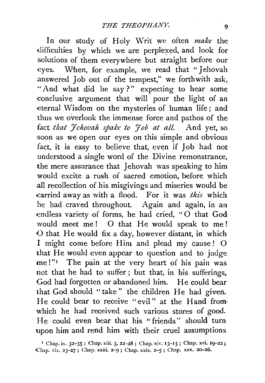In our study of Holy Writ we often *make* the difficulties by which we are perplexed, and look for solutions of them everywhere but straight before our eyes. When, for example, we read that "Jehovah .answered Job out of the tempest," we forthwith ask, "And what did he say?" expecting to hear some conclusive argument that will pour the light of an eternal Wisdom on the mysteries of human life ; and thus we overlook the immense force and pathos of the fact *that Jehovah spake to Job at all.* And yet, so soon as we open our eyes on this simple and obvious fact, it is easy to believe that, even 'if Job had not understood a single word of the Divine remonstrance, the mere assurance that Jehovah was speaking to him would excite a rush of sacred emotion, before which .all recollection of his misgivings and miseries would be .carried away as with a flood. For it was *this* which he had craved throughout. Again and again, in an endless variety of forms, he had cried, "O that God would meet me ! 0 that He would speak to me ! {) that He would fix a day, however distant, in which I might come before Him and plead my cause ! 0 that He would even appear to question and to judge me!"<sup>1</sup> The pain at the very heart of his pain was not that he had to suffer ; but that, in his sufferings, God had forgotten or abandoned him. He could bear that God should "take " the children He had given. He could bear to receive "evil" at the Hand from· which he had received such various stores of good. He could even bear that his "friends" should turn upon him and rend him with their cruel assumptions

<sup>&</sup>lt;sup>1</sup> Chap. ix. 32-35; Chap. xiii. 3, 22-28; Chap. xiv. 13-15; Chap. xvi. 19-22; Chap. xix. 23-27; Chap. xxiii. 2-9; Chap. xxix. 2-5; Chap. xxx. 20-26.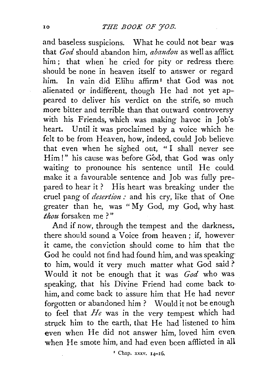and baseless suspicions. What he could not bear was that *God* should abandon him, *abandon* as well as afflict him; that when he cried for pity or redress there. should be none in heaven itself to answer or regard him. In vain did Elihu affirm<sup>1</sup> that God was not .alienated Qr indifferent, though He had not yet appeared to deliver his verdict on the strife, so much more bitter and terrible than that outward controversy with his Friends, which. was making havoc in Job's. heart. Until it was proclaimed by a voice which hefelt to be from Heaven, how, indeed, could Job believe that even when he sighed out, " I shall never see Him!" his cause was before God, that God was only waiting to pronounce his sentence until He could. make it a favourable sentence and Job was fully prepared to hear it ? His heart was breaking under the cruel pang of *desertion*: and his cry, like that of One greater than he, was "My God, my God, why hast *thou* forsaken me ? "

And if now, through the tempest and the darkness, there should sound a Voice from heaven ; if, however it came, the conviction should come to him that the God he could not find had found him, and was speaking to him, would it very much matter what God said? Would it not be enough that it was *God* who was speaking, that his Divine Friend had come back to· him, and come back to assure him that He had never forgotten or abandoned him ? Would it not be enough to feel that *He* was in the very tempest which had struck him to the earth, that He had listened to him even when He did not answer him, loved him even when He smote him, and had even been afflicted in all

' Chap. xxxv. 14-16.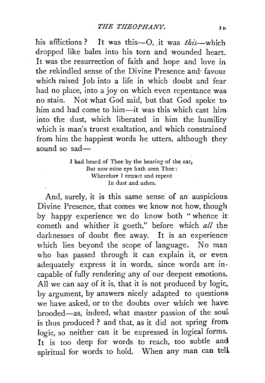his afflictions? It was this-0, .it was *this-which*  dropped like balm into his torn and wounded heart.. It was the resurrection of faith and hope and love in the rekindled sense of the Divine Presence and· favour which raised Job into a life in which doubt and fear had no place, into a joy on which even repentance was no stain. Not what God said, but that God spoke tohim and had come to him-it was this which cast himinto the dust, which liberated in him the humilitywhich is man's truest exaltation, and which constrained from him the happiest words he utters, although theysound so sad-

## I had heard of Thee by the hearing of the ear, But now mine eye hath seen Thee : Wherefore I retract and repent In dust and ashes.

And, surely, it is this same sense of an auspicious. Divine Presence, that comes we know not how, though by happy experience we do know both " whence it: cometh and whither it goeth," before which *all* the darknesses of doubt flee away. It is an experience which lies beyond the scope of language. No man who has passed through it can explain it, or even adequately express it in words, since words are incapable of fully rendering any of our deepest emotions. All we can say of it is, that it is not produced by logic, by argument, by answers nicely adapted to questions. we have asked, or to the doubts over which we have: brooded-as, indeed, what master passion of the soul is thus produced·? and that, as it did not spring from logic, so neither can it be expressed in logical forms. It is too deep for words to reach, too subtle and spiritual for words to hold. When any man can tell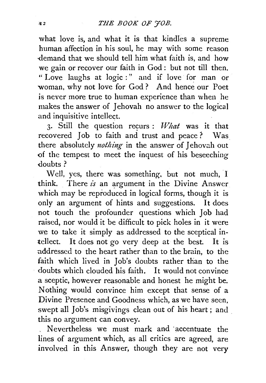what love is, and what it is that kindles a supreme human affection in his soul, he may With some reason ·demand that we should tell him what faith is, and how we gain or recover our faith in God : but not till then. " Love laughs at logic :" and if love for man or woman, why not love for God? And hence our Poet is never more true to human experience than when he makes the answer of Jehovah no answer to the logical and inquisitive intellect.

3. Still the question recurs : *What* was it that recovered Job to faith and trust and peace? Was there absolutely *nothing* in the answer of Jehovah out <>f the tempest to meet the inquest of his beseeching doubts?

Well, yes, there was something. but not much, I think. There  $i\dot{s}$  an argument in the Divine Answer which may be reproduced in logical forms, though it is only an argument of hints and suggestions. It does not touch the profounder questions which Job had raised, nor would it be difficult to pick holes in it were we to take it simply as addressed to the sceptical intellect. It does not go very deep at the best. It is addressed to the heart rather than to the brain, to the faith which lived in Job's doubts rather than to the doubts which clouded his faith. It would not convince a sceptic, however reasonable and honest he might be. Nothing would convince him except that sense of a Divine Presence and Goodness which, as we have seen, swept all Job's misgivings clean out of his heart; and this no argument can convey.

, Nevertheless we must mark and ·accentuate the lines of argument which, as all critics are agreed, are involved in this Answer, though they are not very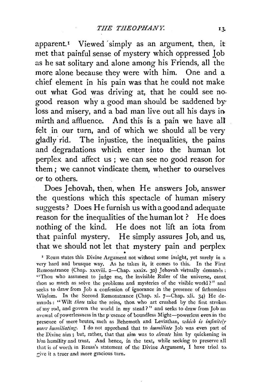apparent.<sup>1</sup> Viewed simply as an argument, then, it met that painful sense of mystery which oppressed Job as he sat solitary and alone among his Friends, all the more alone because they were with him. One and a chief element in his pain was that he could not make out what God was driving at, that he could see no. good reason why a good man should be saddened byloss and misery, and a bad man live out all his days in. mirth and affluence. And this is a pain we have all felt in our turn, and of which we should all be very gladly rid. The injustice, the inequalities, the pains and degradations which enter into the human lot perplex and affect us; we can see no good reason for them; we cannot vindicate them, whether to ourselves or to others.

Does Jehovah, then, when He answers Job, answer the questions which this spectacle of human misery suggests? Does He furnish us withagoodand adequate reason for the inequalities of the human lot ? He does nothing of the kind. He does not lift an iota from that painful mystery. He simply assures Job, and us, that we should not let that mystery pain and perplex

<sup>1</sup> Reuss states this Divine Argument not without some insight, yet surely in a very hard and brusque way. As he takes it, it comes to this. In the First Remonstrance (Chap. xxxviii. 2-Chap. xxxix. 30) Jehovah virtually demands: "Thou who assumest to judge me, the invisible Ruler of the universe, canst thou so much as solve the problems and mysteries of the visible world?" and seeks to draw from Job a confession of ignorance in the presence of fathomless Wisdom. In the Second Remonstrance (Chap. xl.  $7$ —Chap. xli. 34) He demands : "Wilt *thou* take the reins, thou who art crushed by the first strokes of my rod, and govern the world in my stead?" and seeks to draw from Job an avowal of powerlessness in the p·esence of boundless Might-powerless even in the presence of mere brutes, such as Behemoth and Leviathan, *which is infinitely more humiliating*. I do not apprehend that to *humiliate* Job was even part of the Divine aim ; but, rather, that that aim was to *elevate* him by quickening in him humility and trust, And hence, in the text, while seeking to preserve all that is of worth in Reuss's statement of the Divine Argument, I have tried to. rive it a truer and more gracious turn.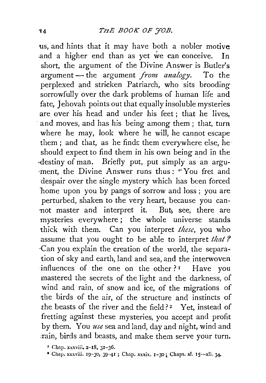us, and hints that it may have both a nobler motive and a higher end than as yet we can conceive. In short, the argument of the Divine Answer is Butler's argument - the argument *from analogy*. To the perplexed and stricken Patriarch, who sits brooding sorrowfully over the dark problems of human life and fate. Jehovah points out that equally insoluble mysteries are over his head and under his feet ; that he lives, and moves, and has his being among them; that, turn where he may, look where he will, he cannot escape them ; and that, as he finds them everywhere else, he should expect to find them in his own being and in the ·destiny of man. Briefly put, put simply as an argu ment, the Divine Answer runs thus: "You fret and despair over the single mystery which has been forced home upon you by pangs of sorrow and loss; you are perturbed, shaken to the very heart, because you cannot master and interpret it. But) see, there are mysteries everywhere; the whole universe stands thick with them. Can you interpret *these,* you who assume that you ought to be able to interpret *that?*  ·Can you explain the creation of the world, the separation of sky and earth, land and sea, and the interwoven influences of the one on the other?<sup>1</sup> Have you mastered the secrets of the light and the darkness, of wind and rain, of snow and ice, of the migrations of the birds of the air, of the structure and instincts of the beasts of the river and the field? *z* Yet, instead of fretting against these mysteries, you accept and profit by them. You *use* sea and land, day and night, wind and .rain, birds and beasts, and make them serve your turn.

 $*$  Chap. xxxviii. 2-18, 31-36.

<sup>\*</sup> Chap. xxxviii. 19-30, 39-41 ; Chap. xxxix. 1-30; Chaps. xl. 15--xli. 34.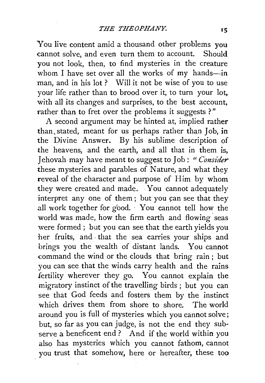You live content amid a thousand other problems you cannot solve, and even turn them to account. Should you not look, then, to find mysteries in the creature whom I have set over all the works of my hands-in man, and in his lot ? Will it not be wise of you to use your life rather than to brood over it, to turn your lot, with all its changes and surprises, to the best account, rather than to fret over the problems it suggests ?"

A second argument may be hinted at, implied rather than. stated, meant for us perhaps rather than Job, in the Divine Answer. By his sublime description of the heavens, and the earth, and all that in them is, J ehovah may have meant to suggest to Job: *''Consider*  these mysteries and parables of Nature, and what they reveal of the character and purpose of Him by whom they were created and made. You cannot adequately interpret any one of them; but you can see that they all work together for good. You cannot tell how the world was made, how the firm earth and flowing seas were formed ; but you can see that the earth yields you her fruits, and . that the sea carries your ships and brings you the wealth of distant lands. You cannot command the wind or the clouds that bring rain; but you can see that the winds carry health and the rains fertility wherever they go. You cannot explain the migratory instinct of the travelling birds ; but you can see that God feeds and fosters them by the instinct which drives them from shore to shore. The world around you is full of mysteries which you cannot solve; but, so far as you can judge, is not the end they subserve a beneficent end? And if the world within you also has mysteries which you cannot fathom, cannot you trust that somehow, here or hereafter, these too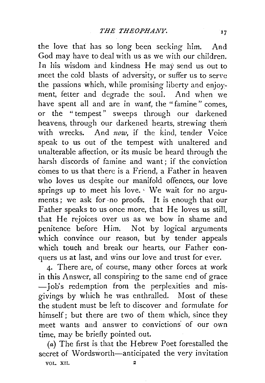the love that has so long been seeking him. And God may have to deal with us as we with our children. In his wisdom and kindness He may send us out to meet the cold blasts of adversity, or suffer us to serve the passions which, while promising liberty and enjoyment, fetter and degrade the soul. And when we have spent all and are in want, the "famine" comes, or the " tempest" sweeps through our darkened heavens, through our darkened hearts, strewing them with wrecks. And  $now$ , if the kind, tender Voice speak to us out of the tempest with unaltered and unalterable affection, or its music be heard through the harsh discords of famine and want; if the conviction comes to us that there is a Friend, a Father in heaven who loves us despite our manifold offences, our love springs up to meet his love. ' We wait for no arguments; we ask for -no proofs. It is enough that our Father speaks to us once more, that He loves us still, that He rejoices over us as we bow in shame and penitence before Him. Not by logical arguments which convince our reason, but by tender appeals which touch and break our hearts, our Father conquers us at last, and wins our love and trust for ever.

4· There are, of course, many other forces at work in this Answer, all conspiring to the same end of grace -Job's redemption from the perplexities and misgivings by which he was enthralled. Most of these the student must be left to discover and formulate for himself; but there are two of them which, since they meet wants and answer to convictions of our own time, may be briefly pointed out.

(a) The first is that the Hebrew Poet forestalled the secret of Wordsworth-anticipated the very invitation VOL. XII. 2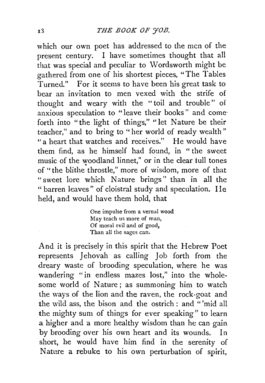which our own poet has addressed to the men of the present century. I have sometimes thought that all that was special and peculiar to Wordsworth might be gathered from one of his shortest pieces, "The Tables Turned." For it seems to have been his great task to bear an invitation to men vexed with the strife of thought and weary with the "toil and trouble" of anxious speculation to "leave their books" and come· forth into "the light of things," "let Nature be their teacher," and to bring to "her world of ready wealth" "a heart that watches and receives." He would have them find, as he himself had found, in " the sweet music of the woodland linnet," or in the clear full tones of "the blithe throstle," more of wisdom, more of that "sweet lore which Nature brings" than in all the '' barren leaves" of cloistral study and speculation. I le held, and would have them hold, that

> One impulse from a vernal wood May teach us more of man, Of moral evil and of good, Than all the sages can.

And it is precisely in this spirit that the Hebrew Poet represents Jehovah as calling Job forth from the dreary waste of brooding speculation, where he was wandering "in endless mazes lost," into the wholesome world of Nature ; as summoning him to watch the ways of the lion and the raven, the rock-goat and the wild ass, the bison and the ostrich : and "'mid all the mighty sum of things for ever speaking" to learn a higher and a more healthy wisdom than he can gain by brooding over his own heart and its wounds. In short, he would have him find in the serenity of Nature a rebuke to his own perturbation of spirit,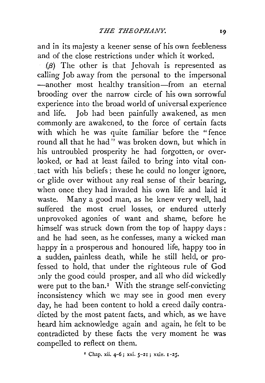and in its majesty a keener sense of his own feebleness and of the close restrictions under which it worked.

 $(\beta)$  The other is that Jehovah is represented as calling Job away from the personal to the impersonal -another most healthy transition-from an eternal brooding over the narrow circle of his own sorrowful experience into the broad world of universal experience and life. Job had been painfully awakened, as men commonly are awakened, to the force of certain facts with which he was quite familiar before the "fence round all that he had" was broken down, but which in his untroubled prosperity he had forgotten, or overlooked, or had at least failed to bring into vital con-. tact with his beliefs ; these he could no longer ignore, or glide over without any real sense of their bearing, when once they had invaded his own life and laid it waste. Many a good man, as he knew very well, had suffered the most cruel losses, or endured utterly unprovoked agonies of want and shame, before he himself was struck down from the top of happy days : and he had seen, as he confesses, many a wicked man happy in a prosperous and honoured life, happy too in a sudden, painless death, while he still held, or professed to hold, that under the righteous rule of God only the good could prosper, and all who did wickedly were put to the ban.<sup>1</sup> With the strange self-convicting inconsistency which we may see in good men every day, he had been content to hold a creed daily contradicted by the most patent facts, and which, as we have heard him acknowledge again and again, he felt to be contradicted by these facts the very moment he was compelled to reflect on them.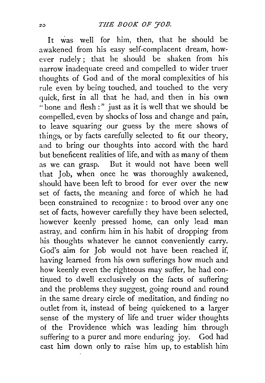It was well for him, then, that he should be awakened from his easy self-complacent dream, however rudely ; that he should be shaken from his narrow inadequate creed and compelled to wider truer thoughts of God and of the moral complexities of his rule even by being touched, and touched to the very quick, first in all that he had, and then in his own "bone and flesh:" just as it is well that we should be compelled, even by shocks of loss and change and pain, to leave squaring our guess by the mere shows of things, or by facts carefully selected to fit our theory, and to bring our thoughts into accord with the hard but beneficent realities of life, and with as many of them as we can grasp. But it would not have been well that Job, when once he was thoroughly awakened, should have been left to brood for ever over the new set of facts, the meaning and force of which he had been constrained to recognize : to brood over any one set of facts, however carefully they have been selected, however keenly pressed home, can only lead man astray, and confirm him in his habit of dropping from his thoughts whatever he cannot conveniently carry. God's aim for Job would not have been reached if, having learned from his own sufferings how much and how keenly even the righteous may suffer, he had continued to dwell exclusively on the facts of suffering and the problems they suggest, going round and round in the same dreary circle of meditation, and finding no outlet from it, instead of being quickened to a larger sense of the mystery of life and truer wider thoughts of the Providence which was leading him through suffering to a purer and more enduring joy. God had cast him down only to raise him up, to establish him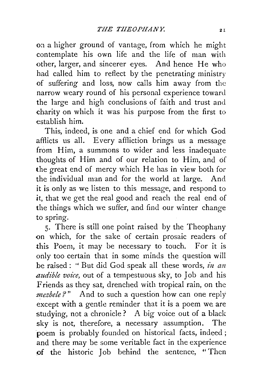on a higher ground of vantage, from which he might contemplate his own life and the life of man with other, larger, and sincerer eyes. And hence He who had called him to reflect by the penetrating ministry of suffering and loss, now calls him away from the narrow weary round of his personal experience toward the large and high conclusions of faith and trust and charity on which it was his purpose from the first to establish him.

This, indeed, is one and a chief end for which God afflicts us all. Every affliction brings us a message from Him, a summons to wider and less inadequate thoughts of Him and of our relation to Him, and of the great end of mercy which He has in view both for the individual man and for the world at large. And it is only as we listen to this message, and respond to *it,* that we get the real good and reach the real end of the things which we suffer, and find our winter change to spring.

5· There is still one point raised by the Theophany on which, for the sake of certain prosaic readers of this Poem, it may be necessary to touch. For it is only too certain that in some minds the question will be raised : " But did God speak all these words, *in an audible voice,* out of a tempestuous sky, to Job and his Friends as they sat, drenched with tropical rain, on the *mezbele* ?" And to such a question how can one reply except with a gentle reminder that it is a poem we are studying, not a chronicle? A big voice out of a black sky is not, therefore, a necessary assumption. The poem is probably founded on historical facts, indeed ; and there may be some veritable fact in the experience of the historic Job behind the sentence, "Then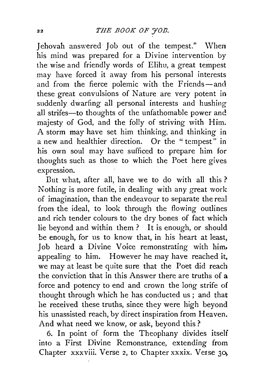Jehovah answered Job out of the tempest." \Vhen his mind was prepared for a Divine intervention by the wise and friendly words of Elihu, a great tempest may have forced it away from his personal interests and from the fierce polemic with the Friends-and these great convulsions of Nature are very potent in suddenly dwarfing all personal interests and hushing all strifes-to thoughts of the unfathomable power and majesty of God, and the folly of striving with Him. A storm may have set him thinking, and thinking in a new and healthier direction. Or the " tempest" in his own soul may have sufficed to prepare him for thoughts such as those to which the Poet here gives expression.

Dut what, after all, have we to do with all this ? Nothing is more futile, in dealing with any great work of imagination, than the endeavour to separate the real from the ideal, to look through the flowing outlines and rich tender colours to the dry bones of fact which lie beyond and within them ? It is enough, or should be enough, for us to know that, in his heart at least, Job heard a Divine Voice remonstrating with him. appealing to him. However he may have reached it. we may at least be quite sure that the Poet did reach the conviction that in this Answer there are truths of a force and potency to end and crown the long strife of thought through which he has conducted us; and that he received these truths, since they were high beyond his unassisted reach, by direct inspiration from Heaven. And what need we know, or ask, beyond this?

6. In point of form the Theophany divides itself into a First Divine Remonstrance, extending from Chapter xxxviii. Verse 2, to Chapter xxxix. Verse 30,